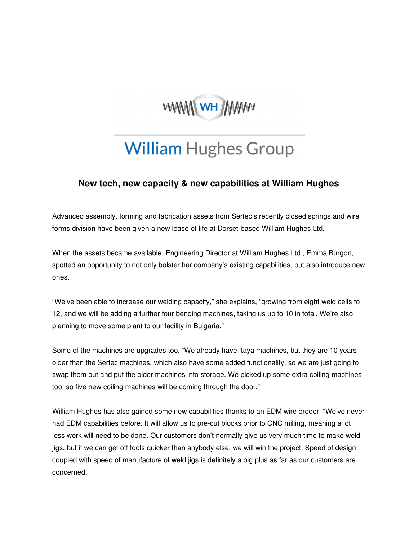

## **William Hughes Group**

## **New tech, new capacity & new capabilities at William Hughes**

Advanced assembly, forming and fabrication assets from Sertec's recently closed springs and wire forms division have been given a new lease of life at Dorset-based William Hughes Ltd.

When the assets became available, Engineering Director at William Hughes Ltd., Emma Burgon, spotted an opportunity to not only bolster her company's existing capabilities, but also introduce new ones.

"We've been able to increase our welding capacity," she explains, "growing from eight weld cells to 12, and we will be adding a further four bending machines, taking us up to 10 in total. We're also planning to move some plant to our facility in Bulgaria."

Some of the machines are upgrades too. "We already have Itaya machines, but they are 10 years older than the Sertec machines, which also have some added functionality, so we are just going to swap them out and put the older machines into storage. We picked up some extra coiling machines too, so five new coiling machines will be coming through the door."

William Hughes has also gained some new capabilities thanks to an EDM wire eroder. "We've never had EDM capabilities before. It will allow us to pre-cut blocks prior to CNC milling, meaning a lot less work will need to be done. Our customers don't normally give us very much time to make weld jigs, but if we can get off tools quicker than anybody else, we will win the project. Speed of design coupled with speed of manufacture of weld jigs is definitely a big plus as far as our customers are concerned."